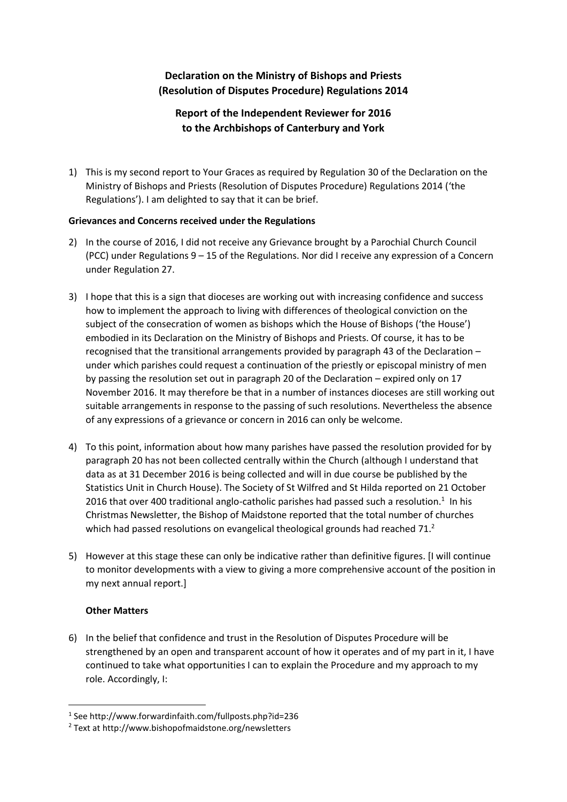## **Declaration on the Ministry of Bishops and Priests (Resolution of Disputes Procedure) Regulations 2014**

# **Report of the Independent Reviewer for 2016 to the Archbishops of Canterbury and York**

1) This is my second report to Your Graces as required by Regulation 30 of the Declaration on the Ministry of Bishops and Priests (Resolution of Disputes Procedure) Regulations 2014 ('the Regulations'). I am delighted to say that it can be brief.

### **Grievances and Concerns received under the Regulations**

- 2) In the course of 2016, I did not receive any Grievance brought by a Parochial Church Council (PCC) under Regulations 9 – 15 of the Regulations. Nor did I receive any expression of a Concern under Regulation 27.
- 3) I hope that this is a sign that dioceses are working out with increasing confidence and success how to implement the approach to living with differences of theological conviction on the subject of the consecration of women as bishops which the House of Bishops ('the House') embodied in its Declaration on the Ministry of Bishops and Priests. Of course, it has to be recognised that the transitional arrangements provided by paragraph 43 of the Declaration – under which parishes could request a continuation of the priestly or episcopal ministry of men by passing the resolution set out in paragraph 20 of the Declaration – expired only on 17 November 2016. It may therefore be that in a number of instances dioceses are still working out suitable arrangements in response to the passing of such resolutions. Nevertheless the absence of any expressions of a grievance or concern in 2016 can only be welcome.
- 4) To this point, information about how many parishes have passed the resolution provided for by paragraph 20 has not been collected centrally within the Church (although I understand that data as at 31 December 2016 is being collected and will in due course be published by the Statistics Unit in Church House). The Society of St Wilfred and St Hilda reported on 21 October 2016 that over 400 traditional anglo-catholic parishes had passed such a resolution. $<sup>1</sup>$  In his</sup> Christmas Newsletter, the Bishop of Maidstone reported that the total number of churches which had passed resolutions on evangelical theological grounds had reached 71.<sup>2</sup>
- 5) However at this stage these can only be indicative rather than definitive figures. [I will continue to monitor developments with a view to giving a more comprehensive account of the position in my next annual report.]

### **Other Matters**

1

6) In the belief that confidence and trust in the Resolution of Disputes Procedure will be strengthened by an open and transparent account of how it operates and of my part in it, I have continued to take what opportunities I can to explain the Procedure and my approach to my role. Accordingly, I:

<sup>1</sup> See http://www.forwardinfaith.com/fullposts.php?id=236

<sup>2</sup> Text at http://www.bishopofmaidstone.org/newsletters